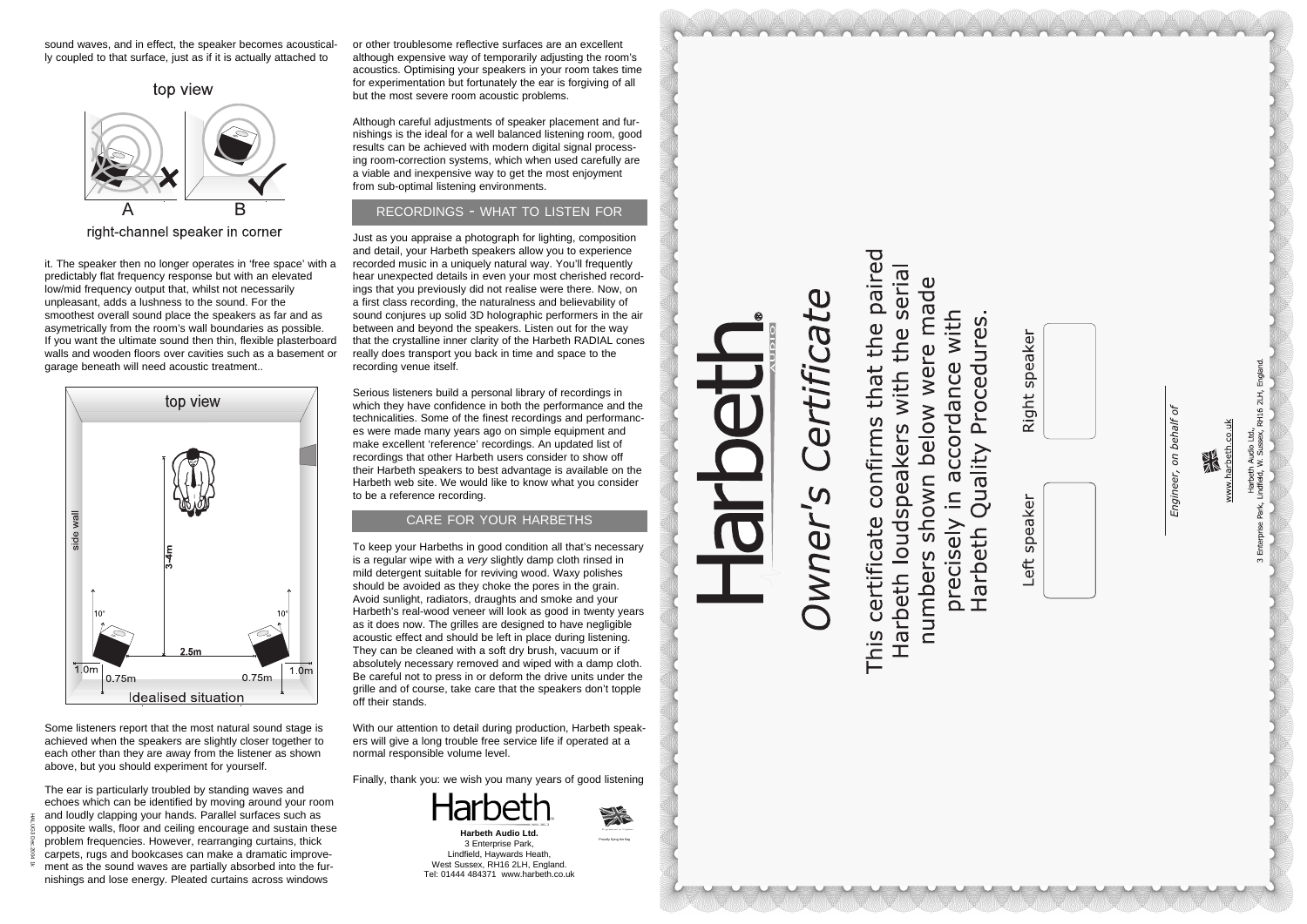sound waves, and in effect, the speaker becomes acoustically coupled to that surface, just as if it is actually attached to



right-channel speaker in corner

it. The speaker then no longer operates in 'free space' with a predictably flat frequency response but with an elevated low/mid frequency output that, whilst not necessarily unpleasant, adds a lushness to the sound. For the smoothest overall sound place the speakers as far and as asymetrically from the room's wall boundaries as possible. If you want the ultimate sound then thin, flexible plasterboard walls and wooden floors over cavities such as a basement or garage beneath will need acoustic treatment..



Some listeners report that the most natural sound stage is achieved when the speakers are slightly closer together to each other than they are away from the listener as shown above, but you should experiment for yourself.

The ear is particularly troubled by standing waves and echoes which can be identified by moving around your room and loudly clapping your hands. Parallel surfaces such as opposite walls, floor and ceiling encourage and sustain these problem frequencies. However, rearranging curtains, thick carpets, rugs and bookcases can make a dramatic improvement as the sound waves are partially absorbed into the furnishings and lose energy. Pleated curtains across windows

or other troublesome reflective surfaces are an excellent although expensive way of temporarily adjusting the room's acoustics. Optimising your speakers in your room takes time for experimentation but fortunately the ear is forgiving of all but the most severe room acoustic problems.

Although careful adjustments of speaker placement and furnishings is the ideal for a well balanced listening room, good results can be achieved with modern digital signal processing room-correction systems, which when used carefully are a viable and inexpensive way to get the most enjoyment from sub-optimal listening environments.

Just as you appraise a photograph for lighting, composition and detail, your Harbeth speakers allow you to experience recorded music in a uniquely natural way. You'll frequently hear unexpected details in even your most cherished recordings that you previously did not realise were there. Now, on a first class recording, the naturalness and believability of sound conjures up solid 3D holographic performers in the air between and beyond the speakers. Listen out for the way that the crystalline inner clarity of the Harbeth RADIAL cones really does transport you back in time and space to the recording venue itself.

Serious listeners build a personal library of recordings in which they have confidence in both the performance and the technicalities. Some of the finest recordings and performances were made many years ago on simple equipment and make excellent 'reference' recordings. An updated list of recordings that other Harbeth users consider to show off their Harbeth speakers to best advantage is available on the Harbeth web site. We would like to know what you consider to be a reference recording.

To keep your Harbeths in good condition all that's necessary is a regular wipe with a *very* slightly damp cloth rinsed in mild detergent suitable for reviving wood. Waxy polishes should be avoided as they choke the pores in the grain. Avoid sunlight, radiators, draughts and smoke and your Harbeth's real-wood veneer will look as good in twenty years as it does now. The grilles are designed to have negligible acoustic effect and should be left in place during listening. They can be cleaned with a soft dry brush, vacuum or if absolutely necessary removed and wiped with a damp cloth. Be careful not to press in or deform the drive units under the grille and of course, take care that the speakers don't topple off their stands.

With our attention to detail during production, Harbeth speakers will give a long trouble free service life if operated at a normal responsible volume level.

Finally, thank you: we wish you many years of good listening



## RECORDINGS - WHAT TO LISTEN FOR

#### CARE FOR YOUR HARBETHS

**Harbeth Audio Ltd.** 3 Enterprise Park, Lindfield, Haywards Heath, West Sussex, RH16 2LH, England. Tel: 01444 484371 www.harbeth.co.uk



This certificate confirms that the paired serial  $\mathbf 0$ below were made precisely in accordance with Quality Procedures Harbeth loudspeakers with the nworls Harbeth numbers

RH16 2LH, England h Audio Ltd.,<br>W. Sussex, F



Engineer, on behalf



Left

Proudly flying the flag